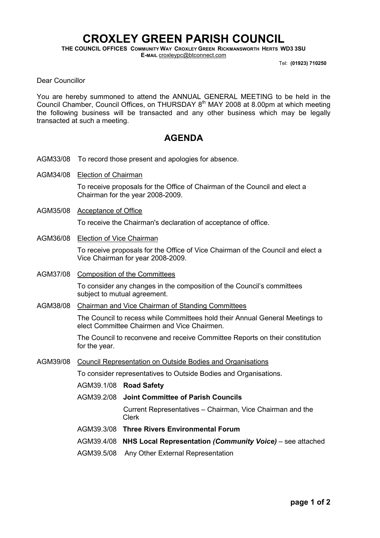## CROXLEY GREEN PARISH COUNCIL

THE COUNCIL OFFICES COMMUNITY WAY CROXLEY GREEN RICKMANSWORTH HERTS WD3 3SU E-MAIL croxleypc@btconnect.com

Tel: (01923) 710250

Dear Councillor

You are hereby summoned to attend the ANNUAL GENERAL MEETING to be held in the Council Chamber, Council Offices, on THURSDAY 8<sup>th</sup> MAY 2008 at 8.00pm at which meeting the following business will be transacted and any other business which may be legally transacted at such a meeting.

## AGENDA

- AGM33/08 To record those present and apologies for absence.
- AGM34/08 Election of Chairman

To receive proposals for the Office of Chairman of the Council and elect a Chairman for the year 2008-2009.

AGM35/08 Acceptance of Office

To receive the Chairman's declaration of acceptance of office.

AGM36/08 Election of Vice Chairman

To receive proposals for the Office of Vice Chairman of the Council and elect a Vice Chairman for year 2008-2009.

AGM37/08 Composition of the Committees

To consider any changes in the composition of the Council's committees subject to mutual agreement.

AGM38/08 Chairman and Vice Chairman of Standing Committees

The Council to recess while Committees hold their Annual General Meetings to elect Committee Chairmen and Vice Chairmen.

The Council to reconvene and receive Committee Reports on their constitution for the year.

AGM39/08 Council Representation on Outside Bodies and Organisations

To consider representatives to Outside Bodies and Organisations.

AGM39.1/08 Road Safety

AGM39.2/08 Joint Committee of Parish Councils

 Current Representatives – Chairman, Vice Chairman and the Clerk

- AGM39.3/08 Three Rivers Environmental Forum
- AGM39.4/08 NHS Local Representation (Community Voice) see attached
- AGM39.5/08 Any Other External Representation